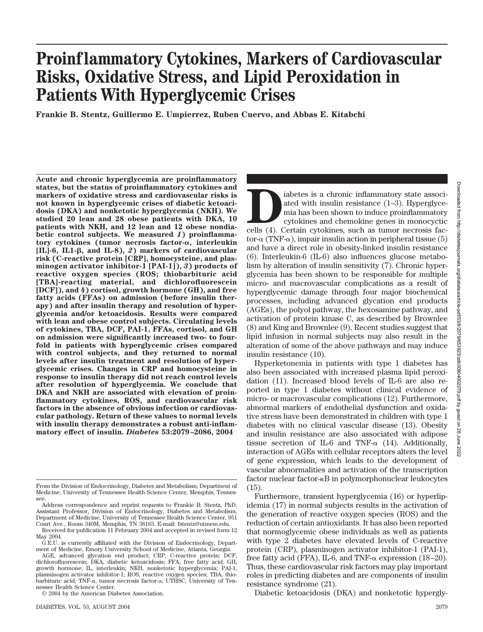# **Proinflammatory Cytokines, Markers of Cardiovascular Risks, Oxidative Stress, and Lipid Peroxidation in Patients With Hyperglycemic Crises**

**Frankie B. Stentz, Guillermo E. Umpierrez, Ruben Cuervo, and Abbas E. Kitabchi**

**Acute and chronic hyperglycemia are proinflammatory states, but the status of proinflammatory cytokines and markers of oxidative stress and cardiovascular risks is not known in hyperglycemic crises of diabetic ketoacidosis (DKA) and nonketotic hyperglycemia (NKH). We studied 20 lean and 28 obese patients with DKA, 10 patients with NKH, and 12 lean and 12 obese nondiabetic control subjects. We measured** *1***) proinflammatory cytokines (tumor necrosis factor-, interleukin [IL**]-6, IL1-β, and IL-8), 2) markers of cardiovascular **risk (C-reactive protein [CRP], homocysteine, and plasminogen activator inhibitor-1 [PAI-1]),** *3***) products of reactive oxygen species (ROS; thiobarbituric acid [TBA]-reacting material, and dichlorofluorescein [DCF]), and** *4***) cortisol, growth hormone (GH), and free fatty acids (FFAs) on admission (before insulin therapy) and after insulin therapy and resolution of hyperglycemia and/or ketoacidosis. Results were compared with lean and obese control subjects. Circulating levels of cytokines, TBA, DCF, PAI-1, FFAs, cortisol, and GH on admission were significantly increased two- to fourfold in patients with hyperglycemic crises compared with control subjects, and they returned to normal levels after insulin treatment and resolution of hyperglycemic crises. Changes in CRP and homocysteine in response to insulin therapy did not reach control levels after resolution of hyperglycemia. We conclude that DKA and NKH are associated with elevation of proinflammatory cytokines, ROS, and cardiovascular risk factors in the absence of obvious infection or cardiovascular pathology. Return of these values to normal levels with insulin therapy demonstrates a robust anti-inflammatory effect of insulin.** *Diabetes* **53:2079–2086, 2004**

© 2004 by the American Diabetes Association.

iabetes is a chronic inflammatory state associated with insulin resistance (1–3). Hyperglyce-<br>mia has been shown to induce proinflammatory<br>cytokines and chemokine genes in monocyctic<br>cells (4). Certain cytokines, such as t ated with insulin resistance (1–3). Hyperglycemia has been shown to induce proinflammatory cytokines and chemokine genes in monocyctic tor- $\alpha$  (TNF- $\alpha$ ), impair insulin action in peripheral tissue (5) and have a direct role in obesity-linked insulin resistance (6). Interleukin-6 (IL-6) also influences glucose metabolism by alteration of insulin sensitivity (7). Chronic hyperglycemia has been shown to be responsible for multiple micro- and macrovascular complications as a result of hyperglycemic damage through four major biochemical processes, including advanced glycation end products (AGEs), the polyol pathway, the hexosamine pathway, and activation of protein kinase C, as described by Brownlee (8) and King and Brownlee (9). Recent studies suggest that lipid infusion in normal subjects may also result in the alteration of some of the above pathways and may induce insulin resistance (10).

Hyperketonemia in patients with type 1 diabetes has also been associated with increased plasma lipid peroxidation (11). Increased blood levels of IL-6 are also reported in type 1 diabetes without clinical evidence of micro- or macrovascular complications (12). Furthermore, abnormal markers of endothelial dysfunction and oxidative stress have been demonstrated in children with type 1 diabetes with no clinical vascular disease (13). Obesity and insulin resistance are also associated with adipose tissue secretion of IL-6 and TNF- $\alpha$  (14). Additionally, interaction of AGEs with cellular receptors alters the level of gene expression, which leads to the development of vascular abnormalities and activation of the transcription factor nuclear factor- $\kappa B$  in polymorphonuclear leukocytes (15).

Furthermore, transient hyperglycemia (16) or hyperlipidemia (17) in normal subjects results in the activation of the generation of reactive oxygen species (ROS) and the reduction of certain antioxidants. It has also been reported that normoglycemic obese individuals as well as patients with type 2 diabetes have elevated levels of C-reactive protein (CRP), plasminogen activator inhibitor-1 (PAI-1), free fatty acid (FFA), IL-6, and TNF- $\alpha$  expression (18–20). Thus, these cardiovascular risk factors may play important roles in predicting diabetes and are components of insulin resistance syndrome (21).

Diabetic ketoacidosis (DKA) and nonketotic hypergly-

From the Division of Endocrinology, Diabetes and Metabolism, Department of Medicine, University of Tennessee Health Science Center, Memphis, Tennessee.

Address correspondence and reprint requests to Frankie B. Stentz, PhD, Assistant Professor, Division of Endocrinology, Diabetes and Metabolism, Department of Medicine, University of Tennessee Health Science Center, 951 Court Ave., Room 340M, Memphis, TN 38163. E-mail: fstentz@utmem.edu.

Received for publication 11 February 2004 and accepted in revised form 12 May 2004.

G.E.U. is currently affiliated with the Division of Endocrinology, Department of Medicine, Emory University School of Medicine, Atlanta, Georgia.

AGE, advanced glycation end product; CRP, C-reactive protein; DCF, dichlorofluorescein; DKA, diabetic ketoacidosis; FFA, free fatty acid; GH, growth hormone; IL, interleukin; NKH, nonketotic hyperglycemia; PAI-1, plasminogen activator inhibitor-1; ROS, reactive oxygen species; TBA, thiobarbituric acid; TNF- $\alpha$ , tumor necrosis factor- $\alpha$ ; UTHSC, University of Tennessee Health Science Center.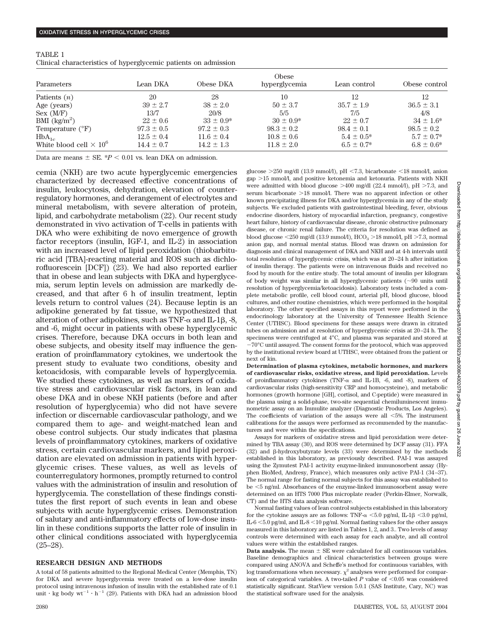| TABLE 1                                                         |  |  |
|-----------------------------------------------------------------|--|--|
| Clinical characteristics of hyperglycemic patients on admission |  |  |

| Parameters                     | Obese          |                |                |                 |                 |  |  |  |
|--------------------------------|----------------|----------------|----------------|-----------------|-----------------|--|--|--|
|                                | Lean DKA       | Obese DKA      | hyperglycemia  | Lean control    | Obese control   |  |  |  |
| Patients $(n)$                 | 20             | 28             | 10             | 12              | 12              |  |  |  |
| Age (years)                    | $39 \pm 2.7$   | $38 \pm 2.0$   | $50 \pm 3.7$   | $35.7 \pm 1.9$  | $36.5 \pm 3.1$  |  |  |  |
| Sex (M/F)                      | 13/7           | 20/8           | 5/5            | 7/5             | 4/8             |  |  |  |
| BMI $\frac{kg}{m^2}$           | $22 \pm 0.6$   | $33 \pm 0.9^*$ | $30 \pm 0.9^*$ | $22 \pm 0.7$    | $34 \pm 1.6^*$  |  |  |  |
| Temperature $(^{\circ}F)$      | $97.3 \pm 0.5$ | $97.2 \pm 0.3$ | $98.3 \pm 0.2$ | $98.4 \pm 0.1$  | $98.5 \pm 0.2$  |  |  |  |
| $HbA_{1c}$                     | $12.5 \pm 0.4$ | $11.6 \pm 0.4$ | $10.8 \pm 0.6$ | $5.4 \pm 0.5^*$ | $5.7 \pm 0.7^*$ |  |  |  |
| White blood cell $\times 10^6$ | $14.4 \pm 0.7$ | $14.2 \pm 1.3$ | $11.8 \pm 2.0$ | $6.5 \pm 0.7^*$ | $6.8 \pm 0.6^*$ |  |  |  |

Data are means  $\pm$  SE.  $*P$  < 0.01 vs. lean DKA on admission.

cemia (NKH) are two acute hyperglycemic emergencies characterized by decreased effective concentrations of insulin, leukocytosis, dehydration, elevation of counterregulatory hormones, and derangement of electrolytes and mineral metabolism, with severe alteration of protein, lipid, and carbohydrate metabolism (22). Our recent study demonstrated in vivo activation of T-cells in patients with DKA who were exhibiting de novo emergence of growth factor receptors (insulin, IGF-1, and IL-2) in association with an increased level of lipid peroxidation (thiobarbituric acid [TBA]-reacting material and ROS such as dichlorofluorescein [DCF]) (23). We had also reported earlier that in obese and lean subjects with DKA and hyperglycemia, serum leptin levels on admission are markedly decreased, and that after 6 h of insulin treatment, leptin levels return to control values (24). Because leptin is an adipokine generated by fat tissue, we hypothesized that alteration of other adipokines, such as TNF- $\alpha$  and IL-1 $\beta$ , -8, and -6, might occur in patients with obese hyperglycemic crises. Therefore, because DKA occurs in both lean and obese subjects, and obesity itself may influence the generation of proinflammatory cytokines, we undertook the present study to evaluate two conditions, obesity and ketoacidosis, with comparable levels of hyperglycemia. We studied these cytokines, as well as markers of oxidative stress and cardiovascular risk factors, in lean and obese DKA and in obese NKH patients (before and after resolution of hyperglycemia) who did not have severe infection or discernable cardiovascular pathology, and we compared them to age- and weight-matched lean and obese control subjects. Our study indicates that plasma levels of proinflammatory cytokines, markers of oxidative stress, certain cardiovascular markers, and lipid peroxidation are elevated on admission in patients with hyperglycemic crises. These values, as well as levels of counterregulatory hormones, promptly returned to control values with the administration of insulin and resolution of hyperglycemia. The constellation of these findings constitutes the first report of such events in lean and obese subjects with acute hyperglycemic crises. Demonstration of salutary and anti-inflammatory effects of low-dose insulin in these conditions supports the latter role of insulin in other clinical conditions associated with hyperglycemia (25–28).

#### **RESEARCH DESIGN AND METHODS**

A total of 58 patients admitted to the Regional Medical Center (Memphis, TN) for DKA and severe hyperglycemia were treated on a low-dose insulin protocol using intravenous infusion of insulin with the established rate of 0.1 unit  $\cdot$  kg body wt<sup>-1</sup>  $\cdot$  h<sup>-1</sup> (29). Patients with DKA had an admission blood glucose  $>250$  mg/dl (13.9 mmol/l), pH <7.3, bicarbonate <18 mmol/l, anion gap >15 mmol/l, and positive ketonemia and ketonuria. Patients with NKH were admitted with blood glucose  $>400$  mg/dl (22.4 mmol/l), pH  $>7.3$ , and serum bicarbonate >18 mmol/l. There was no apparent infection or other known precipitating illness for DKA and/or hyperglycemia in any of the study subjects. We excluded patients with gastrointestinal bleeding, fever, obvious endocrine disorders, history of myocardial infarction, pregnancy, congestive heart failure, history of cardiovascular disease, chronic obstructive pulmonary disease, or chronic renal failure. The criteria for resolution was defined as blood glucose <250 mg/dl (13.9 mmol/l),  $HCO<sub>3</sub> > 18$  mmol/l, pH >7.3, normal anion gap, and normal mental status. Blood was drawn on admission for diagnosis and clinical management of DKA and NKH and at 4-h intervals until total resolution of hyperglycemic crisis, which was at 20–24 h after initiation of insulin therapy. The patients were on intravenous fluids and received no food by mouth for the entire study. The total amount of insulin per kilogram of body weight was similar in all hyperglycemic patients  $(\sim 90$  units until resolution of hyperglycemia/ketoacidosis). Laboratory tests included a complete metabolic profile, cell blood count, arterial pH, blood glucose, blood cultures, and other routine chemistries, which were performed in the hospital laboratory. The other specified assays in this report were performed in the endocrinology laboratory at the University of Tennessee Health Science Center (UTHSC). Blood specimens for these assays were drawn in citrated tubes on admission and at resolution of hyperglycemic crisis at 20–24 h. The specimens were centrifuged at 4°C, and plasma was separated and stored at 70°C until assayed. The consent forms for the protocol, which was approved by the institutional review board at UTHSC, were obtained from the patient or next of kin.

**Determination of plasma cytokines, metabolic hormones, and markers of cardiovascular risks, oxidative stress, and lipid peroxidation.** Levels of proinflammatory cytokines (TNF- $\alpha$  and IL-1B, -6, and -8), markers of cardiovascular risks (high-sensitivity CRP and homocysteine), and metabolic hormones (growth hormone [GH], cortisol, and C-peptide) were measured in the plasma using a solid-phase, two-site sequential chemiluminescent immunometric assay on an Immulite analyzer (Diagnostic Products, Los Angeles). The coefficients of variation of the assays were all  $\leq 5\%$ . The instrument calibrations for the assays were performed as recommended by the manufacturers and were within the specifications.

Assays for markers of oxidative stress and lipid peroxidation were determined by TBA assay (30), and ROS were determined by DCF assay (31). FFA (32) and  $\beta$ -hydroxybutyrate levels (33) were determined by the methods established in this laboratory, as previously described. PAI-1 was assayed using the Zymutest PAI-1 activity enzyme-linked immunosorbent assay (Hyphen BioMed, Andresy, France), which measures only active PAI-1 (34–37). The normal range for fasting normal subjects for this assay was established to be 5 ng/ml. Absorbances of the enzyme-linked immunosorbent assay were determined on an HTS 7000 Plus microplate reader (Perkin-Elmer, Norwalk, CT) and the HTS data analysis software.

Normal fasting values of lean control subjects established in this laboratory for the cytokine assays are as follows: TNF- $\alpha$  <5.0 pg/ml, IL-1 $\beta$  <3.0 pg/ml, IL-6  $\leq$  5.0 pg/ml, and IL-8  $\leq$  10 pg/ml. Normal fasting values for the other assays measured in this laboratory are listed in Tables 1, 2, and 3.. Two levels of assay controls were determined with each assay for each analyte, and all control values were within the established ranges.

**Data analysis.** The mean  $\pm$  SE were calculated for all continuous variables. Baseline demographics and clinical characteristics between groups were compared using ANOVA and Scheffe's method for continuous variables, with  $\log$  transformations when necessary.  $\chi^2$  analyses were performed for comparison of categorical variables. A two-tailed  $P$  value of  $\leq 0.05$  was considered statistically significant. StatView version 5.0.1 (SAS Institute, Cary, NC) was the statistical software used for the analysis.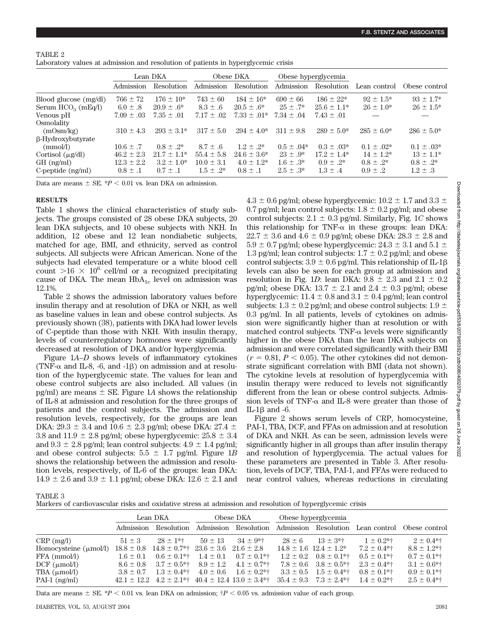## TABLE 2

Laboratory values at admission and resolution of patients in hyperglycemic crisis

|                              | Lean DKA       |                 | Obese DKA      |                  | Obese hyperglycemia |                 |                 |                 |
|------------------------------|----------------|-----------------|----------------|------------------|---------------------|-----------------|-----------------|-----------------|
|                              | Admission      | Resolution      | Admission      | Resolution       | Admission           | Resolution      | Lean control    | Obese control   |
| Blood glucose (mg/dl)        | $766 \pm 72$   | $176 \pm 10^*$  | $743 \pm 60$   | $184 \pm 16*$    | $690 \pm 66$        | $186 \pm 22*$   | $92 + 1.5*$     | $93 + 1.7*$     |
| Serum $HCO3$ (mEq/l)         | $6.0 \pm .8$   | $20.9 \pm .6*$  | $8.3 \pm .6$   | $20.5 \pm .6*$   | $25 \pm .7^*$       | $25.6 \pm 1.1*$ | $26 \pm 1.0^*$  | $26 \pm 1.5^*$  |
| Venous pH                    | $7.09 \pm .03$ | $7.35 \pm .01$  | $7.17 \pm .02$ | $7.33 + .01*$    | $7.34 \pm .04$      | $7.43 \pm .01$  |                 |                 |
| Osmolality                   |                |                 |                |                  |                     |                 |                 |                 |
| (mOsm/kg)                    | $310 \pm 4.3$  | $293 \pm 3.1*$  | $317 \pm 5.0$  | $294 \pm 4.0^*$  | $311 \pm 9.8$       | $289 \pm 5.0^*$ | $285 \pm 6.0^*$ | $286 \pm 5.0^*$ |
| $\beta$ -Hydroxybutyrate     |                |                 |                |                  |                     |                 |                 |                 |
| (mmol/l)                     | $10.6 \pm .7$  | $0.8 \pm .2^*$  | $8.7 \pm .6$   | $1.2 + .2^*$     | $0.5 \pm .04*$      | $0.3 + 0.3*$    | $0.1 \pm .02*$  | $0.1 \pm .03*$  |
| Cortisol $(\mu \text{g/dl})$ | $46.2 \pm 2.3$ | $21.7 \pm 1.1*$ | $55.4 \pm 5.8$ | $24.6 \pm 3.6^*$ | $23 \pm .9^*$       | $17.2 + 1.4*$   | $14 \pm 1.2^*$  | $13 + 1.1*$     |
| $GH$ (ng/ml)                 | $12.3 \pm 2.2$ | $3.2 \pm 1.0^*$ | $10.0 \pm 3.1$ | $4.0 \pm 1.2^*$  | $1.6 \pm .3^*$      | $0.9 + 2^*$     | $0.8 + 2^*$     | $0.8 + .2^*$    |
| C-peptide $(ng/ml)$          | $0.8 \pm .1$   | $0.7 \pm .1$    | $1.5 \pm .2^*$ | $0.8 \pm .1$     | $2.5 + .3*$         | $1.3 \pm .4$    | $0.9 \pm .2$    | $1.2 \pm .3$    |

Data are means  $\pm$  SE.  $*P < 0.01$  vs. lean DKA on admission.

## **RESULTS**

Table 1 shows the clinical characteristics of study subjects. The groups consisted of 28 obese DKA subjects, 20 lean DKA subjects, and 10 obese subjects with NKH. In addition, 12 obese and 12 lean nondiabetic subjects, matched for age, BMI, and ethnicity, served as control subjects. All subjects were African American. None of the subjects had elevated temperature or a white blood cell count  $> 16 \times 10^6$  cell/ml or a recognized precipitating cause of DKA. The mean  $HbA_{1c}$  level on admission was 12.1%.

Table 2 shows the admission laboratory values before insulin therapy and at resolution of DKA or NKH, as well as baseline values in lean and obese control subjects. As previously shown (38), patients with DKA had lower levels of C-peptide than those with NKH. With insulin therapy, levels of counterregulatory hormones were significantly decreased at resolution of DKA and/or hyperglycemia.

Figure 1*A*–*D* shows levels of inflammatory cytokines (TNF- $\alpha$  and IL-8, -6, and -1 $\beta$ ) on admission and at resolution of the hyperglycemic state. The values for lean and obese control subjects are also included. All values (in pg/ml) are means  $\pm$  SE. Figure 1A shows the relationship of IL-8 at admission and resolution for the three groups of patients and the control subjects. The admission and resolution levels, respectively, for the groups are lean DKA:  $29.3 \pm 3.4$  and  $10.6 \pm 2.3$  pg/ml; obese DKA:  $27.4 \pm$ 3.8 and  $11.9 \pm 2.8$  pg/ml; obese hyperglycemic:  $25.8 \pm 3.4$ and  $9.3 \pm 2.8$  pg/ml; lean control subjects:  $4.9 \pm 1.4$  pg/ml; and obese control subjects:  $5.5 \pm 1.7$  pg/ml. Figure 1*B* shows the relationship between the admission and resolution levels, respectively, of IL-6 of the groups: lean DKA:  $14.9 \pm 2.6$  and  $3.9 \pm 1.1$  pg/ml; obese DKA:  $12.6 \pm 2.1$  and

 $4.3 \pm 0.6$  pg/ml; obese hyperglycemic:  $10.2 \pm 1.7$  and  $3.3 \pm 1.7$ 0.7 pg/ml; lean control subjects:  $1.8 \pm 0.2$  pg/ml; and obese control subjects:  $2.1 \pm 0.3$  pg/ml. Similarly, Fig. 1*C* shows this relationship for TNF- $\alpha$  in these groups: lean DKA:  $22.7 \pm 3.6$  and  $4.6 \pm 0.9$  pg/ml; obese DKA:  $28.3 \pm 2.8$  and  $5.9 \pm 0.7$  pg/ml; obese hyperglycemic:  $24.3 \pm 3.1$  and  $5.1 \pm 1.1$ 1.3 pg/ml; lean control subjects:  $1.7 \pm 0.2$  pg/ml; and obese control subjects:  $3.9 \pm 0.6$  pg/ml. This relationship of IL-1 $\beta$ levels can also be seen for each group at admission and resolution in Fig. 1*D*: lean DKA:  $9.8 \pm 2.3$  and  $2.1 \pm 0.2$ pg/ml; obese DKA:  $13.7 \pm 2.1$  and  $2.4 \pm 0.3$  pg/ml; obese hyperglycemic:  $11.4 \pm 0.8$  and  $3.1 \pm 0.4$  pg/ml; lean control subjects:  $1.3 \pm 0.2$  pg/ml; and obese control subjects:  $1.9 \pm$ 0.3 pg/ml. In all patients, levels of cytokines on admission were significantly higher than at resolution or with matched control subjects. TNF- $\alpha$  levels were significantly higher in the obese DKA than the lean DKA subjects on admission and were correlated significantly with their BMI  $(r = 0.81, P < 0.05)$ . The other cytokines did not demonstrate significant correlation with BMI (data not shown). The cytokine levels at resolution of hyperglycemia with insulin therapy were reduced to levels not significantly different from the lean or obese control subjects. Admission levels of TNF- $\alpha$  and IL-8 were greater than those of IL-1 $\beta$  and -6.

Figure 2 shows serum levels of CRP, homocysteine, PAI-1, TBA, DCF, and FFAs on admission and at resolution of DKA and NKH. As can be seen, admission levels were significantly higher in all groups than after insulin therapy and resolution of hyperglycemia. The actual values for these parameters are presented in Table 3. After resolution, levels of DCF, TBA, PAI-1, and FFAs were reduced to near control values, whereas reductions in circulating

TABLE 3

|                                   | Lean DKA      |                                  | Obese DKA                     |                                                                    | Obese hyperglycemia |                                 |                    |                            |
|-----------------------------------|---------------|----------------------------------|-------------------------------|--------------------------------------------------------------------|---------------------|---------------------------------|--------------------|----------------------------|
|                                   | Admission     | Resolution                       | Admission                     | Resolution                                                         |                     | Admission Resolution            |                    | Lean control Obese control |
| $CRP$ (mg/l)                      | $51 \pm 3$    | $28 \pm 1$ *†                    | $59 \pm 13$                   | $34 \pm 9$ *†                                                      | $28 \pm 6$          | $13 \pm 3$ *†                   | $1 \pm 0.2$ *†     | $2 \pm 0.4**$              |
| Homocysteine $(\mu \text{mol/l})$ |               | $18.8 \pm 0.8$ $14.8 \pm 0.7$ *† | $23.6 \pm 3.6$ $21.6 \pm 2.8$ |                                                                    |                     | $14.8 \pm 1.6$ $12.4 \pm 1.2^*$ | $7.2 \pm 0.4**$    | $8.8 \pm 1.2$ *†           |
| FFA (mmol/l)                      | $1.6 \pm 0.1$ | $0.6 \pm 0.1^{*+}$               | $1.4 \pm 0.1$                 | $0.7 \pm 0.1^{*+1}$                                                |                     | $1.2 \pm 0.2$ $0.8 \pm 0.1$ *†  | $0.5 \pm 0.1^{*+}$ | $0.7 \pm 0.1^{*+}$         |
| $DCF$ ( $\mu$ mol/l)              | $8.6 \pm 0.8$ | $3.7 \pm 0.5^{*}$                | $8.9 \pm 1.2$                 | $4.1 \pm 0.7^{*+}$                                                 | $7.8 \pm 0.6$       | $3.8 \pm 0.5$ *†                | $2.3 \pm 0.4**$    | $3.1 \pm 0.6$ *†           |
| TBA $(\mu \text{mol/l})$          | $3.8 \pm 0.7$ | $1.3 \pm 0.4**$                  | $4.0 \pm 0.6$                 | $1.6 \pm 0.2$ *†                                                   |                     | $3.3 \pm 0.5$ $1.5 \pm 0.4$ *†  | $0.8 \pm 0.1^{*+}$ | $0.9 \pm 0.1$ *†           |
| PAI-1 $(ng/ml)$                   |               |                                  |                               | $42.1 \pm 12.2$ $4.2 \pm 2.1$ *† $40.4 \pm 12.4$ $13.0 \pm 3.4$ *† |                     | $35.4 \pm 9.3$ $7.3 \pm 2.4$ ** | $1.4 \pm 0.2$ *†   | $2.5 \pm 0.4$ *†           |

Data are means  $\pm$  SE. \**P* < 0.01 vs. lean DKA on admission;  $\frac{p}{q}$  < 0.05 vs. admission value of each group.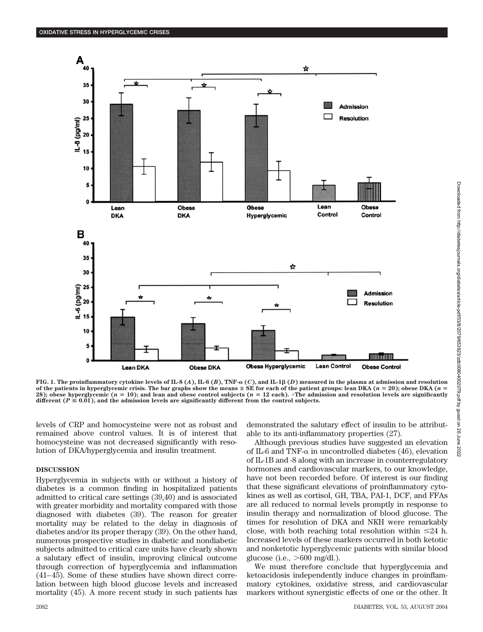

**FIG.** 1. The proinflammatory cytokine levels of IL-8  $(A)$ , IL-6  $(B)$ , TNF- $\alpha$   $(C)$ , and IL-1 $\beta$   $(D)$  measured in the plasma at admission and resolution of the patients in hyperglycemic crisis. The bar graphs show the means  $\pm$  SE for each of the patient groups: lean DKA ( $n = 20$ ); obese DKA ( $n = 20$ ); **28); obese hyperglycemic (***n* **10); and lean and obese control subjects (***n* **12 each).** -**The admission and resolution levels are significantly** different  $(P \le 0.01)$ , and the admission levels are significantly different from the control subjects.

levels of CRP and homocysteine were not as robust and remained above control values. It is of interest that homocysteine was not decreased significantly with resolution of DKA/hyperglycemia and insulin treatment.

## **DISCUSSION**

Hyperglycemia in subjects with or without a history of diabetes is a common finding in hospitalized patients admitted to critical care settings (39,40) and is associated with greater morbidity and mortality compared with those diagnosed with diabetes (39). The reason for greater mortality may be related to the delay in diagnosis of diabetes and/or its proper therapy (39). On the other hand, numerous prospective studies in diabetic and nondiabetic subjects admitted to critical care units have clearly shown a salutary effect of insulin, improving clinical outcome through correction of hyperglycemia and inflammation (41–45). Some of these studies have shown direct correlation between high blood glucose levels and increased mortality (45). A more recent study in such patients has

demonstrated the salutary effect of insulin to be attributable to its anti-inflammatory properties (27).

Although previous studies have suggested an elevation of IL-6 and TNF- $\alpha$  in uncontrolled diabetes (46), elevation of IL-1B and -8 along with an increase in counterregulatory hormones and cardiovascular markers, to our knowledge, have not been recorded before. Of interest is our finding that these significant elevations of proinflammatory cytokines as well as cortisol, GH, TBA, PAI-1, DCF, and FFAs are all reduced to normal levels promptly in response to insulin therapy and normalization of blood glucose. The times for resolution of DKA and NKH were remarkably close, with both reaching total resolution within  $\leq 24$  h. Increased levels of these markers occurred in both ketotic and nonketotic hyperglycemic patients with similar blood glucose (i.e.,  $>600$  mg/dl.).

We must therefore conclude that hyperglycemia and ketoacidosis independently induce changes in proinflammatory cytokines, oxidative stress, and cardiovascular markers without synergistic effects of one or the other. It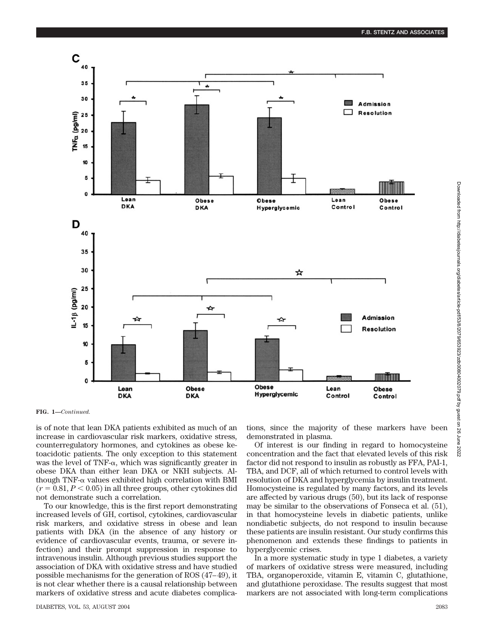

**FIG. 1—***Continued.*

is of note that lean DKA patients exhibited as much of an increase in cardiovascular risk markers, oxidative stress, counterregulatory hormones, and cytokines as obese ketoacidotic patients. The only exception to this statement was the level of TNF- $\alpha$ , which was significantly greater in obese DKA than either lean DKA or NKH subjects. Although TNF- $\alpha$  values exhibited high correlation with BMI  $(r = 0.81, P < 0.05)$  in all three groups, other cytokines did not demonstrate such a correlation.

To our knowledge, this is the first report demonstrating increased levels of GH, cortisol, cytokines, cardiovascular risk markers, and oxidative stress in obese and lean patients with DKA (in the absence of any history or evidence of cardiovascular events, trauma, or severe infection) and their prompt suppression in response to intravenous insulin. Although previous studies support the association of DKA with oxidative stress and have studied possible mechanisms for the generation of ROS (47–49), it is not clear whether there is a causal relationship between markers of oxidative stress and acute diabetes complications, since the majority of these markers have been demonstrated in plasma.

Of interest is our finding in regard to homocysteine concentration and the fact that elevated levels of this risk factor did not respond to insulin as robustly as FFA, PAI-1, TBA, and DCF, all of which returned to control levels with resolution of DKA and hyperglycemia by insulin treatment. Homocysteine is regulated by many factors, and its levels are affected by various drugs (50), but its lack of response may be similar to the observations of Fonseca et al. (51), in that homocysteine levels in diabetic patients, unlike nondiabetic subjects, do not respond to insulin because these patients are insulin resistant. Our study confirms this phenomenon and extends these findings to patients in hyperglycemic crises.

In a more systematic study in type 1 diabetes, a variety of markers of oxidative stress were measured, including TBA, organoperoxide, vitamin E, vitamin C, glutathione, and glutathione peroxidase. The results suggest that most markers are not associated with long-term complications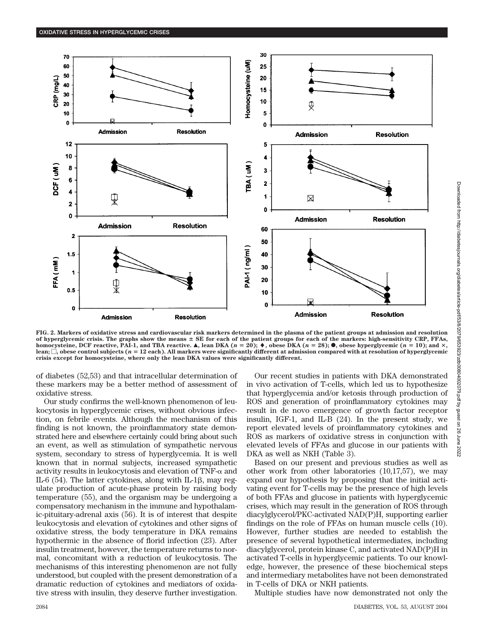

**FIG. 2. Markers of oxidative stress and cardiovascular risk markers determined in the plasma of the patient groups at admission and resolution** of hyperglycemic crisis. The graphs show the means  $\pm$  SE for each of the patient groups for each of the markers: high-sensitivity CRP, FFAs, **homocysteine, DCF reactive, PAI-1, and TBA reactive.**  $\blacktriangle$ , lean DKA  $(n = 20)$ ;  $\blacklozenge$ , obese DKA  $(n = 28)$ ;  $\blacklozenge$ , obese hyperglycemic  $(n = 10)$ ; and  $\times$ , lean;  $\Box$ , obese control subjects ( $n = 12$  each). All markers were significantly different at admission compared with at resolution of hyperglycemic **crisis except for homocysteine, where only the lean DKA values were significantly different.**

of diabetes (52,53) and that intracellular determination of these markers may be a better method of assessment of oxidative stress.

Our study confirms the well-known phenomenon of leukocytosis in hyperglycemic crises, without obvious infection, on febrile events. Although the mechanism of this finding is not known, the proinflammatory state demonstrated here and elsewhere certainly could bring about such an event, as well as stimulation of sympathetic nervous system, secondary to stress of hyperglycemia. It is well known that in normal subjects, increased sympathetic activity results in leukocytosis and elevation of  $TNF-\alpha$  and IL-6 (54). The latter cytokines, along with IL-1 $\beta$ , may regulate production of acute-phase protein by raising body temperature (55), and the organism may be undergoing a compensatory mechanism in the immune and hypothalamic-pituitary-adrenal axis (56). It is of interest that despite leukocytosis and elevation of cytokines and other signs of oxidative stress, the body temperature in DKA remains hypothermic in the absence of florid infection (23). After insulin treatment, however, the temperature returns to normal, concomitant with a reduction of leukocytosis. The mechanisms of this interesting phenomenon are not fully understood, but coupled with the present demonstration of a dramatic reduction of cytokines and mediators of oxidative stress with insulin, they deserve further investigation.

Our recent studies in patients with DKA demonstrated in vivo activation of T-cells, which led us to hypothesize that hyperglycemia and/or ketosis through production of ROS and generation of proinflammatory cytokines may result in de novo emergence of growth factor receptor insulin, IGF-1, and IL-B (24). In the present study, we report elevated levels of proinflammatory cytokines and ROS as markers of oxidative stress in conjunction with elevated levels of FFAs and glucose in our patients with DKA as well as NKH (Table 3).

Based on our present and previous studies as well as other work from other laboratories (10,17,57), we may expand our hypothesis by proposing that the initial activating event for T-cells may be the presence of high levels of both FFAs and glucose in patients with hyperglycemic crises, which may result in the generation of ROS through diacylglycerol/PKC-activated NAD(P)H, supporting earlier findings on the role of FFAs on human muscle cells (10). However, further studies are needed to establish the presence of several hypothetical intermediates, including diacylglycerol, protein kinase C, and activated NAD(P)H in activated T-cells in hyperglycemic patients. To our knowledge, however, the presence of these biochemical steps and intermediary metabolites have not been demonstrated in T-cells of DKA or NKH patients.

Multiple studies have now demonstrated not only the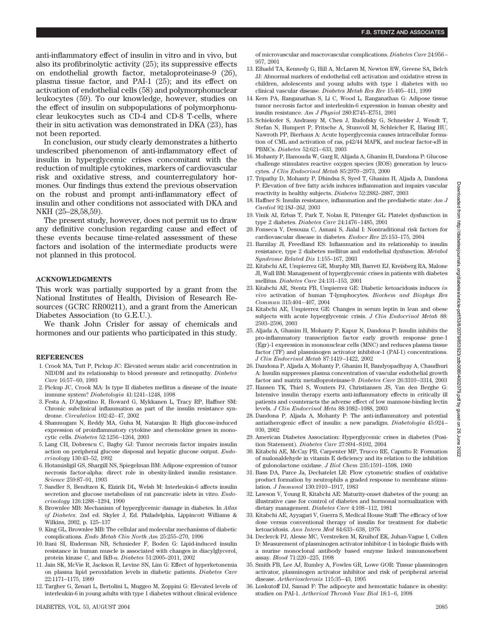anti-inflammatory effect of insulin in vitro and in vivo, but also its profibrinolytic activity (25); its suppressive effects on endothelial growth factor, metaloproteinase-9 (26), plasma tissue factor, and PAI-1 (25); and its effect on activation of endothelial cells (58) and polymorphonuclear leukocytes (59). To our knowledge, however, studies on the effect of insulin on subpopulations of polymorphonuclear leukocytes such as CD-4 and CD-8 T-cells, where their in situ activation was demonstrated in DKA (23), has not been reported.

In conclusion, our study clearly demonstrates a hitherto undescribed phenomenon of anti-inflammatory effect of insulin in hyperglycemic crises concomitant with the reduction of multiple cytokines, markers of cardiovascular risk and oxidative stress, and counterregulatory hormones. Our findings thus extend the previous observation on the robust and prompt anti-inflammatory effect of insulin and other conditions not associated with DKA and NKH (25–28,58,59).

The present study, however, does not permit us to draw any definitive conclusion regarding cause and effect of these events because time-related assessment of these factors and isolation of the intermediate products were not planned in this protocol.

#### **ACKNOWLEDGMENTS**

This work was partially supported by a grant from the National Institutes of Health, Division of Research Resources (GCRC RR00211), and a grant from the American Diabetes Association (to G.E.U.).

We thank John Crisler for assay of chemicals and hormones and our patients who participated in this study.

#### **REFERENCES**

- 1. Crook MA, Tutt P, Pickup JC: Elevated serum sialic acid concentration in NIDDM and its relationship to blood pressure and retinopathy. *Diabetes Care* 16:57–60, 1993
- 2. Pickup JC, Crook MA: Is type II diabetes mellitus a disease of the innate immune system? *Diabetologia* 41:1241–1248, 1998
- 3. Festa A, D'Agostino R, Howard G, Mykkanen L, Tracy RP, Haffner SM: Chronic subclinical inflammation as part of the insulin resistance syndrome. *Circulation* 102:42–47, 2002
- 4. Shanmugam N, Reddy MA, Guha M, Natarajan R: High glucose-induced expression of proinflammatory cytokine and chemokine genes in monocytic cells. *Diabetes* 52:1256–1264, 2003
- 5. Lang CH, Dobrescu C, Bagby GJ: Tumor necrosis factor impairs insulin action on peripheral glucose disposal and hepatic glucose output. *Endocrinology* 130:43–52, 1992
- 6. Hotamisligil GS, Shargill NS, Spiegelman BM: Adipose expression of tumor necrosis factor-alpha: direct role in obesity-linked insulin resistance. *Science* 259:87–91, 1993
- 7. Sandler S, Bendtzen K, Eizirik DL, Welsh M: Interleukin-6 affects insulin secretion and glucose metabolism of rat pancreatic islets in vitro. *Endocrinology* 126:1288–1294, 1990
- 8. Brownlee MB: Mechanism of hyperglycemic damage in diabetes. In *Atlas of Diabetes*. 2nd ed. Skyler J, Ed. Philadelphia, Lippincott Williams & Wilkins, 2002, p. 125–137
- 9. King GL, Brownlee MB: The cellular and molecular mechanisms of diabetic complications. *Endo Metab Clin North Am* 25:255–270, 1996
- 10. Itani SI, Ruderman NB, Schmieder F, Boden G: Lipid-induced insulin resistance in human muscle is associated with changes in diacylglycerol, protein kinase C, and IkB-α. *Diabetes* 51:2005–2011, 2002
- 11. Jain SK, McVie R, Jackson R, Levine SN, Lim G: Effect of hyperketonemia on plasma lipid peroxidation levels in diabetic patients. *Diabetes Care* 22:1171–1175, 1999
- 12. Targher G, Zenari L, Bertolini L, Muggeo M, Zoppini G: Elevated levels of interleukin-6 in young adults with type 1 diabetes without clinical evidence

of microvascular and macrovascular complications. *Diabetes Care* 24:956– 957, 2001

- 13. Elhadd TA, Kennedy G, Hill A, McLaren M, Newton RW, Greene SA, Belch JJ: Abnormal markers of endothelial cell activation and oxidative stress in children, adolescents and young adults with type 1 diabetes with no clinical vascular disease. *Diabetes Metab Res Rev* 15:405–411, 1999
- 14. Kern PA, Ranganathan S, Li C, Wood L, Ranganathan G: Adipose tissue tumor necrosis factor and interleukin-6 expression in human obesity and insulin resistance. *Am J Physiol* 280:E745–E751, 2001
- 15. Schiekofer S, Andrassy M, Chen J, Rudofsky G, Schneider J, Wendt T, Stefan N, Humpert P, Fritsche A, Stumvoll M, Schleicher E, Haring HU, Nawroth PP, Bierhaus A: Acute hyperglycemia causes intracellular formation of CML and activation of ras, p42/44 MAPK, and nuclear factor--B in PBMCs. *Diabetes* 52:621–633, 2003
- 16. Mohanty P, Hamouda W, Garg R, Alijada A, Ghanim H, Dandona P: Glucose challenge stimulates reactive oxygen species (ROS) generation by leucocytes. *J Clin Endocrinol Metab* 85:2970–2973, 2000
- 17. Tripathy D, Mohanty P, Dhindsa S, Syed T, Ghanim H, Aljada A, Dandona P: Elevation of free fatty acids induces inflammation and impairs vascular reactivity in healthy subjects. *Diabetes* 52:2882–2887, 2003
- 18. Haffner S: Insulin resistance, inflammation and the prediabetic state: *Am J Cardiol* 92:18J–26J, 2003
- 19. Vinik AI, Erbas T, Park T, Nolan R, Pittenger GL: Platelet dysfunction in type 2 diabetes. *Diabetes Care* 24:1476–1485, 2001
- 20. Fonseca V, Desouza C, Asnani S, Jialal I: Nontraditional risk factors for cardiovascular disease in diabetes. *Endocr Rev* 25:153–175, 2004
- 21. Barzilay JI, Freedland ES: Inflammation and its relationship to insulin resistance, type 2 diabetes mellitus and endothelial dysfunction. *Metabol Syndrome Related Dis* 1:155–167, 2003
- 22. Kitabchi AE, Umpierrez GE, Murphy MB, Barrett EJ, Kreisberg RA, Malone JI, Wall BM: Management of hyperglycemic crises in patients with diabetes mellitus. *Diabetes Care* 24:131–153, 2001
- 23. Kitabchi AE, Stentz FB, Umpierrez GE: Diabetic ketoacidosis induces *in vivo* activation of human T-lymphocytes. *Biochem and Biophys Res Commun* 315:404–407, 2004
- 24. Kitabchi AE, Umpierrez GE: Changes in serum leptin in lean and obese subjects with acute hyperglycemic crisis. *J Clin Endocrinol Metab* 88: 2593–2596, 2003
- 25. Aljada A, Ghanim H, Mohanty P, Kapur N, Dandona P: Insulin inhibits the pro-inflammatory transcription factor early growth response gene-1 (Egr)-1 expression in mononuclear cells (MNC) and reduces plasma tissue factor (TF) and plasminogen activator inhibitor-1 (PAI-1) concentrations. *J Clin Endocrinol Metab* 87:1419–1422, 2002
- 26. Dandona P, Aljada A, Mohanty P, Ghanim H, Bandyopadhyay A, Chaudhuri A: Insulin suppresses plasma concentration of vascular endothelial growth factor and matrix metalloproteinase-9. *Diabetes Care* 26:3310–3314, 2003
- 27. Hansen TK, Thiel S, Wouters PJ, Christiansen JS, Van den Berghe G: Intensive insulin therapy exerts anti-inflammatory effects in critically ill patients and counteracts the adverse effect of low mannose-binding lectin levels. *J Clin Endocrinol Meta* 88:1082–1088, 2003
- 28. Dandona P, Aljada A, Mohanty P: The anti-inflammatory and potential antiatherogenic effect of insulin: a new paradigm. *Diabetologia* 45:924– 930, 2002
- 29. American Diabetes Association: Hyperglycemic crises in diabetes (Position Statement). *Diabetes Care* 27:S94–S102, 2004
- 30. Kitabchi AE, McCay PB, Carpenter MP, Trucco RE, Caputto R: Formation of malonaldehyde in vitamin E deficiency and its relation to the inhibition of gulonolactone oxidase. *J Biol Chem* 235:1591–1598, 1960
- 31. Bass DA, Parce Ja, Dechatelet LR: Flow cytometric studies of oxidative product formation by neutrophils a graded response to membrane stimulation. *J Immunol* 130:1910–1917, 1983
- 32. Lawson V, Young R, Kitabchi AE: Maturity-onset diabetes of the young: an illustrative case for control of diabetes and hormonal normalization with dietary management. *Diabetes Care* 4:108–112, 1981
- 33. Kitabchi AE, Ayyagari V, Guerra S, Medical House Staff: The efficacy of low dose versus conventional therapy of insulin for treatment for diabetic ketoacidosis. *Ann Intern Med* 84:633–638, 1976
- 34. Declerck PJ, Alesse MC, Verstreken M, Kruihof EK, Juhan-Vague I, Collen D: Measurement of plasminogen activator inhibitor-1 in biologic fluids with a murine monoclonal antibody based enzyme linked immunosorbent assay. *Blood* 71:220–225, 1998
- 35. Smith FB, Lee AJ, Rumley A, Fowles GR, Lowe GOR: Tissue plasminogen activator, plasminogen activator inhibitor and risk of peripheral arterial disease. *Artheriosclerosis* 115:35–43, 1995
- 36. Loskutoff DJ, Samad F: The adipocyte and hemostatic balance in obesity: studies on PAI-1. *Artheriosl Thromb Vasc Biol* 18:1–6, 1998